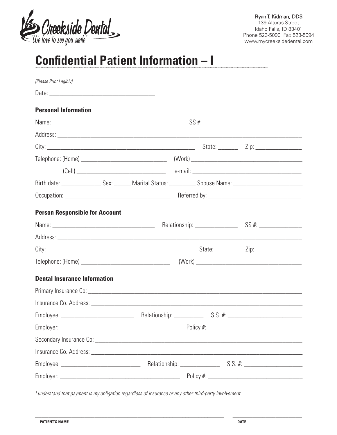

Ryan T. Kidman, DDS 139 Alturas Street Idaho Falls, ID 83401 Phone 523-5090 Fax 523-5094 www.mycreeksidedental.com

|  | <b>Confidential Patient Information -</b> |  |
|--|-------------------------------------------|--|
|  |                                           |  |

| (Please Print Legibly)                                                                                                                                                                                                              |  |  |  |  |  |  |
|-------------------------------------------------------------------------------------------------------------------------------------------------------------------------------------------------------------------------------------|--|--|--|--|--|--|
|                                                                                                                                                                                                                                     |  |  |  |  |  |  |
| <b>Personal Information</b>                                                                                                                                                                                                         |  |  |  |  |  |  |
|                                                                                                                                                                                                                                     |  |  |  |  |  |  |
|                                                                                                                                                                                                                                     |  |  |  |  |  |  |
|                                                                                                                                                                                                                                     |  |  |  |  |  |  |
|                                                                                                                                                                                                                                     |  |  |  |  |  |  |
|                                                                                                                                                                                                                                     |  |  |  |  |  |  |
|                                                                                                                                                                                                                                     |  |  |  |  |  |  |
|                                                                                                                                                                                                                                     |  |  |  |  |  |  |
| <b>Person Responsible for Account</b>                                                                                                                                                                                               |  |  |  |  |  |  |
|                                                                                                                                                                                                                                     |  |  |  |  |  |  |
| Address: <u>Address:</u> Address: Address: Address: Address: Address: Address: Address: Address: Address: Address: Address: Address: Address: Address: Address: Address: Address: Address: Address: Address: Address: Address: Addr |  |  |  |  |  |  |
|                                                                                                                                                                                                                                     |  |  |  |  |  |  |
|                                                                                                                                                                                                                                     |  |  |  |  |  |  |
| <b>Dental Insurance Information</b>                                                                                                                                                                                                 |  |  |  |  |  |  |
|                                                                                                                                                                                                                                     |  |  |  |  |  |  |
|                                                                                                                                                                                                                                     |  |  |  |  |  |  |
|                                                                                                                                                                                                                                     |  |  |  |  |  |  |
|                                                                                                                                                                                                                                     |  |  |  |  |  |  |
|                                                                                                                                                                                                                                     |  |  |  |  |  |  |
|                                                                                                                                                                                                                                     |  |  |  |  |  |  |
|                                                                                                                                                                                                                                     |  |  |  |  |  |  |
|                                                                                                                                                                                                                                     |  |  |  |  |  |  |
|                                                                                                                                                                                                                                     |  |  |  |  |  |  |

I understand that payment is my obligation regardless of insurance or any other third-party involvement.

\_\_\_\_\_\_\_\_\_\_\_\_\_\_\_\_\_\_\_\_\_\_\_\_\_\_\_\_\_\_\_\_\_\_\_\_\_\_\_\_\_\_\_\_\_\_\_\_\_\_\_\_\_\_\_\_\_\_ \_\_\_\_\_\_\_\_\_\_\_\_\_\_\_\_\_\_\_\_\_